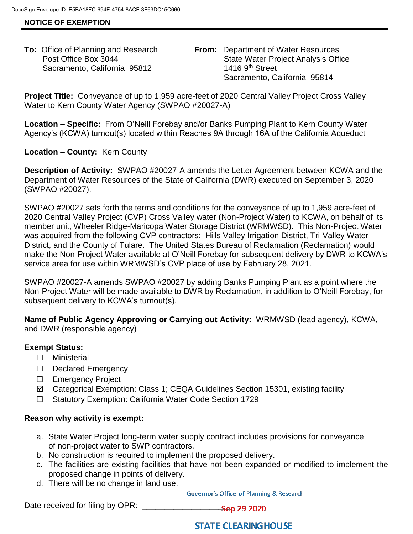# **NOTICE OF EXEMPTION**

Sacramento, California 95812 1416 9th Street

**To:** Office of Planning and Research **From:** Department of Water Resources Post Office Box 3044 State Water Project Analysis Office Sacramento, California 95814

**Project Title:** Conveyance of up to 1,959 acre-feet of 2020 Central Valley Project Cross Valley Water to Kern County Water Agency (SWPAO #20027-A)

**Location – Specific:** From O'Neill Forebay and/or Banks Pumping Plant to Kern County Water Agency's (KCWA) turnout(s) located within Reaches 9A through 16A of the California Aqueduct

# **Location – County:** Kern County

**Description of Activity:** SWPAO #20027-A amends the Letter Agreement between KCWA and the Department of Water Resources of the State of California (DWR) executed on September 3, 2020 (SWPAO #20027).

SWPAO #20027 sets forth the terms and conditions for the conveyance of up to 1,959 acre-feet of 2020 Central Valley Project (CVP) Cross Valley water (Non-Project Water) to KCWA, on behalf of its member unit, Wheeler Ridge-Maricopa Water Storage District (WRMWSD). This Non-Project Water was acquired from the following CVP contractors: Hills Valley Irrigation District, Tri-Valley Water District, and the County of Tulare. The United States Bureau of Reclamation (Reclamation) would make the Non-Project Water available at O'Neill Forebay for subsequent delivery by DWR to KCWA's service area for use within WRMWSD's CVP place of use by February 28, 2021.

SWPAO #20027-A amends SWPAO #20027 by adding Banks Pumping Plant as a point where the Non-Project Water will be made available to DWR by Reclamation, in addition to O'Neill Forebay, for subsequent delivery to KCWA's turnout(s).

**Name of Public Agency Approving or Carrying out Activity:** WRMWSD (lead agency), KCWA, and DWR (responsible agency)

# **Exempt Status:**

- ☐ Ministerial
- ☐ Declared Emergency
- ☐ Emergency Project
- Categorical Exemption: Class 1; CEQA Guidelines Section 15301, existing facility
- ☐ Statutory Exemption: California Water Code Section 1729

#### **Reason why activity is exempt:**

- a. State Water Project long-term water supply contract includes provisions for conveyance of non-project water to SWP contractors.
- b. No construction is required to implement the proposed delivery.
- c. The facilities are existing facilities that have not been expanded or modified to implement the proposed change in points of delivery.
- d. There will be no change in land use.

**Governor's Office of Planning & Research** 

Date received for filing by OPR: \_\_\_\_\_\_\_\_\_\_\_\_\_\_\_\_\_\_\_\_

# **STATE CLEARING HOUSE**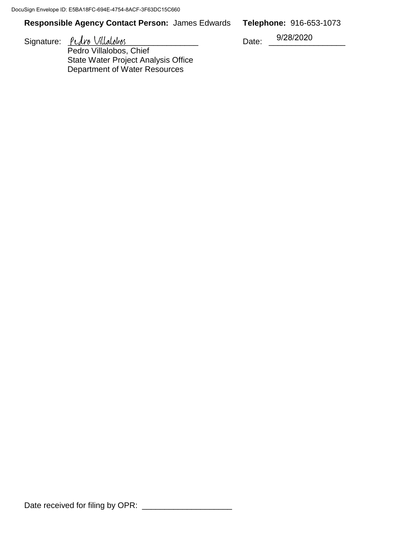# **Responsible Agency Contact Person:** James Edwards **Telephone:** 916-653-1073

Signature:  $PLA\n1$  Villalobos Date:

Pedro Villalobos, Chief State Water Project Analysis Office Department of Water Resources

9/28/2020

Date received for filing by OPR: \_\_\_\_\_\_\_\_\_\_\_\_\_\_\_\_\_\_\_\_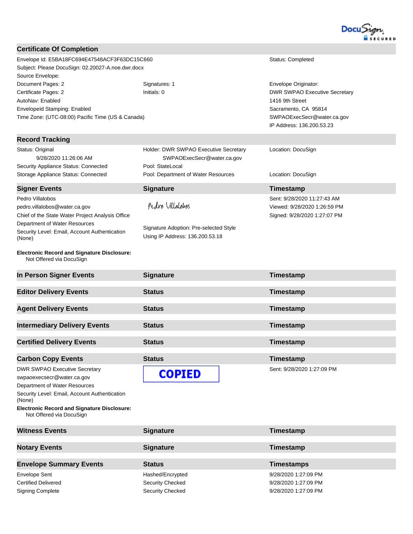

| <b>Certificate Of Completion</b>                                               |                                                                           |                                      |
|--------------------------------------------------------------------------------|---------------------------------------------------------------------------|--------------------------------------|
| Envelope Id: E5BA18FC694E47548ACF3F63DC15C660<br>Status: Completed             |                                                                           |                                      |
| Subject: Please DocuSign: 02.20027-A.noe.dwr.docx                              |                                                                           |                                      |
| Source Envelope:                                                               |                                                                           |                                      |
| Document Pages: 2                                                              | Signatures: 1                                                             | Envelope Originator:                 |
| Certificate Pages: 2                                                           | Initials: 0                                                               | <b>DWR SWPAO Executive Secretary</b> |
| AutoNav: Enabled                                                               |                                                                           | 1416 9th Street                      |
| EnvelopeId Stamping: Enabled                                                   |                                                                           | Sacramento, CA 95814                 |
| Time Zone: (UTC-08:00) Pacific Time (US & Canada)                              |                                                                           | SWPAOExecSecr@water.ca.gov           |
|                                                                                |                                                                           | IP Address: 136.200.53.23            |
| <b>Record Tracking</b>                                                         |                                                                           |                                      |
|                                                                                |                                                                           |                                      |
| Status: Original                                                               | Holder: DWR SWPAO Executive Secretary                                     | Location: DocuSign                   |
| 9/28/2020 11:26:06 AM                                                          | SWPAOExecSecr@water.ca.gov                                                |                                      |
| Security Appliance Status: Connected                                           | Pool: StateLocal                                                          |                                      |
| Storage Appliance Status: Connected                                            | Pool: Department of Water Resources                                       | Location: DocuSign                   |
| <b>Signer Events</b>                                                           | <b>Signature</b>                                                          | Timestamp                            |
| Pedro Villalobos                                                               |                                                                           | Sent: 9/28/2020 11:27:43 AM          |
| pedro.villalobos@water.ca.gov                                                  | Pedro Villalobos                                                          | Viewed: 9/28/2020 1:26:59 PM         |
| Chief of the State Water Project Analysis Office                               |                                                                           | Signed: 9/28/2020 1:27:07 PM         |
| Department of Water Resources                                                  |                                                                           |                                      |
| Security Level: Email, Account Authentication<br>(None)                        | Signature Adoption: Pre-selected Style<br>Using IP Address: 136.200.53.18 |                                      |
| <b>Electronic Record and Signature Disclosure:</b><br>Not Offered via DocuSign |                                                                           |                                      |
| In Person Signer Events                                                        | <b>Signature</b>                                                          | Timestamp                            |
| <b>Editor Delivery Events</b>                                                  | <b>Status</b>                                                             | Timestamp                            |
|                                                                                |                                                                           |                                      |
| <b>Agent Delivery Events</b>                                                   | <b>Status</b>                                                             | Timestamp                            |
| <b>Intermediary Delivery Events</b>                                            | <b>Status</b>                                                             | Timestamp                            |
|                                                                                |                                                                           |                                      |
| <b>Certified Delivery Events</b>                                               | <b>Status</b>                                                             | <b>Timestamp</b>                     |
| <b>Carbon Copy Events</b>                                                      | <b>Status</b>                                                             | Timestamp                            |
| <b>DWR SWPAO Executive Secretary</b>                                           |                                                                           | Sent: 9/28/2020 1:27:09 PM           |
| swpaoexecsecr@water.ca.gov                                                     | <b>COPIED</b>                                                             |                                      |
| Department of Water Resources                                                  |                                                                           |                                      |
| Security Level: Email, Account Authentication                                  |                                                                           |                                      |
| (None)<br><b>Electronic Record and Signature Disclosure:</b>                   |                                                                           |                                      |
| Not Offered via DocuSign                                                       |                                                                           |                                      |
| <b>Witness Events</b>                                                          | <b>Signature</b>                                                          | Timestamp                            |
|                                                                                |                                                                           |                                      |
| <b>Notary Events</b>                                                           | <b>Signature</b>                                                          | Timestamp                            |
| <b>Envelope Summary Events</b>                                                 | <b>Status</b>                                                             | <b>Timestamps</b>                    |
| <b>Envelope Sent</b>                                                           | Hashed/Encrypted                                                          | 9/28/2020 1:27:09 PM                 |

Certified Delivered **Security Checked** Security Checked 9/28/2020 1:27:09 PM Signing Complete Signing Complete Security Checked Security Checked 9/28/2020 1:27:09 PM